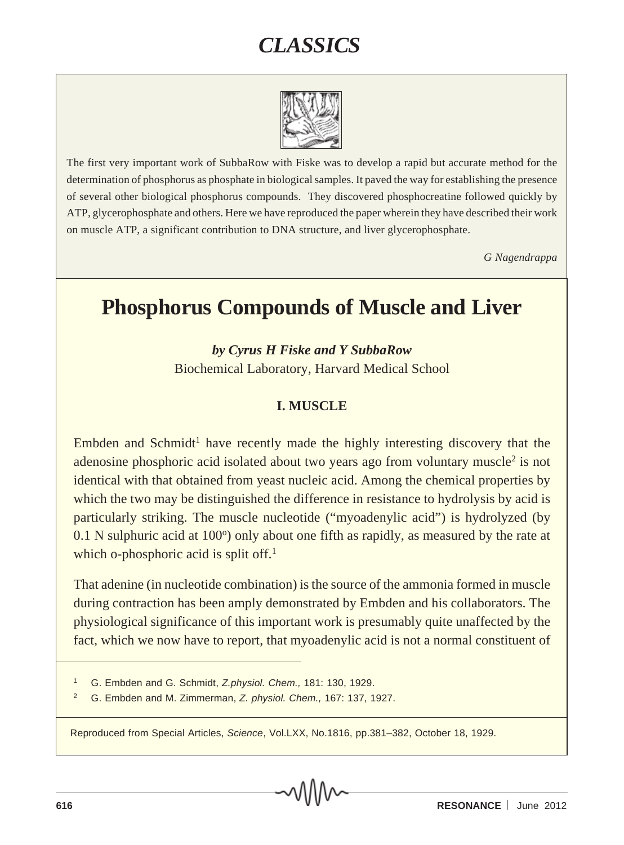# *CLASSICS*



The first very important work of SubbaRow with Fiske was to develop a rapid but accurate method for the determination of phosphorus as phosphate in biological samples. It paved the way for establishing the presence of several other biological phosphorus compounds. They discovered phosphocreatine followed quickly by ATP, glycerophosphate and others. Here we have reproduced the paper wherein they have described their work on muscle ATP, a significant contribution to DNA structure, and liver glycerophosphate.

*G Nagendrappa*

#### **Phosphorus Compounds of Muscle and Liver**

*by Cyrus H Fiske and Y SubbaRow*

Biochemical Laboratory, Harvard Medical School

#### **I. MUSCLE**

Embden and Schmidt<sup>1</sup> have recently made the highly interesting discovery that the adenosine phosphoric acid isolated about two years ago from voluntary muscle<sup>2</sup> is not identical with that obtained from yeast nucleic acid. Among the chemical properties by which the two may be distinguished the difference in resistance to hydrolysis by acid is particularly striking. The muscle nucleotide ("myoadenylic acid") is hydrolyzed (by  $0.1$  N sulphuric acid at  $100^\circ$ ) only about one fifth as rapidly, as measured by the rate at which o-phosphoric acid is split off.<sup>1</sup>

That adenine (in nucleotide combination) is the source of the ammonia formed in muscle during contraction has been amply demonstrated by Embden and his collaborators. The physiological significance of this important work is presumably quite unaffected by the fact, which we now have to report, that myoadenylic acid is not a normal constituent of

Reproduced from Special Articles, *Science*, Vol.LXX, No.1816, pp.381–382, October 18, 1929.

<sup>1</sup> G. Embden and G. Schmidt, *Z.physiol. Chem.,* 181: 130, 1929.

<sup>2</sup> G. Embden and M. Zimmerman, *Z. physiol. Chem.,* 167: 137, 1927.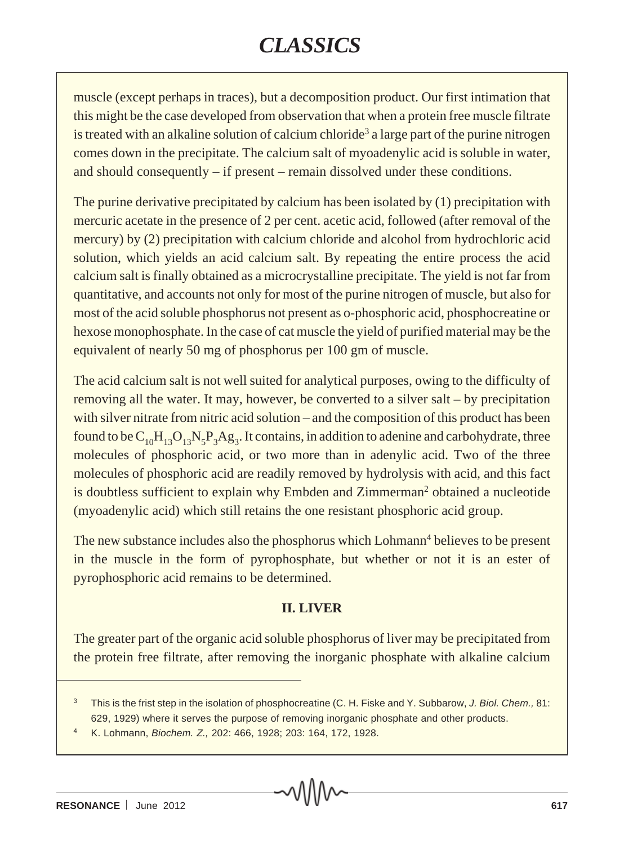# *CLASSICS*

muscle (except perhaps in traces), but a decomposition product. Our first intimation that this might be the case developed from observation that when a protein free muscle filtrate is treated with an alkaline solution of calcium chloride<sup>3</sup> a large part of the purine nitrogen comes down in the precipitate. The calcium salt of myoadenylic acid is soluble in water, and should consequently – if present – remain dissolved under these conditions.

The purine derivative precipitated by calcium has been isolated by (1) precipitation with mercuric acetate in the presence of 2 per cent. acetic acid, followed (after removal of the mercury) by (2) precipitation with calcium chloride and alcohol from hydrochloric acid solution, which yields an acid calcium salt. By repeating the entire process the acid calcium salt is finally obtained as a microcrystalline precipitate. The yield is not far from quantitative, and accounts not only for most of the purine nitrogen of muscle, but also for most of the acid soluble phosphorus not present as o-phosphoric acid, phosphocreatine or hexose monophosphate. In the case of cat muscle the yield of purified material may be the equivalent of nearly 50 mg of phosphorus per 100 gm of muscle.

The acid calcium salt is not well suited for analytical purposes, owing to the difficulty of removing all the water. It may, however, be converted to a silver salt – by precipitation with silver nitrate from nitric acid solution – and the composition of this product has been found to be  $C_{10}H_{13}O_{13}N_5P_3Ag_3$ . It contains, in addition to adenine and carbohydrate, three molecules of phosphoric acid, or two more than in adenylic acid. Two of the three molecules of phosphoric acid are readily removed by hydrolysis with acid, and this fact is doubtless sufficient to explain why Embden and Zimmerman<sup>2</sup> obtained a nucleotide (myoadenylic acid) which still retains the one resistant phosphoric acid group.

The new substance includes also the phosphorus which Lohmann<sup>4</sup> believes to be present in the muscle in the form of pyrophosphate, but whether or not it is an ester of pyrophosphoric acid remains to be determined.

#### **II. LIVER**

The greater part of the organic acid soluble phosphorus of liver may be precipitated from the protein free filtrate, after removing the inorganic phosphate with alkaline calcium

<sup>3</sup> This is the frist step in the isolation of phosphocreatine (C. H. Fiske and Y. Subbarow, *J. Biol. Chem.,* 81: 629, 1929) where it serves the purpose of removing inorganic phosphate and other products.

<sup>4</sup> K. Lohmann, *Biochem. Z.,* 202: 466, 1928; 203: 164, 172, 1928.